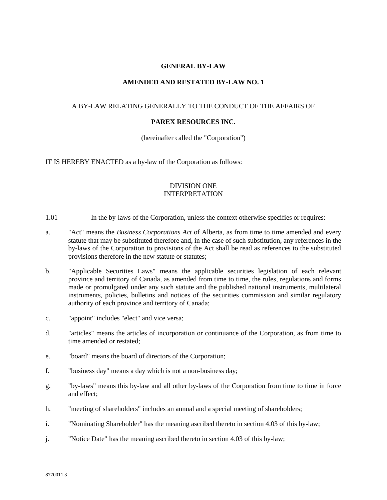## **GENERAL BY-LAW**

## **AMENDED AND RESTATED BY-LAW NO. 1**

## A BY-LAW RELATING GENERALLY TO THE CONDUCT OF THE AFFAIRS OF

### **PAREX RESOURCES INC.**

(hereinafter called the "Corporation")

IT IS HEREBY ENACTED as a by-law of the Corporation as follows:

## DIVISION ONE INTERPRETATION

- 1.01 In the by-laws of the Corporation, unless the context otherwise specifies or requires:
- a. "Act" means the *Business Corporations Act* of Alberta, as from time to time amended and every statute that may be substituted therefore and, in the case of such substitution, any references in the by-laws of the Corporation to provisions of the Act shall be read as references to the substituted provisions therefore in the new statute or statutes;
- b. "Applicable Securities Laws" means the applicable securities legislation of each relevant province and territory of Canada, as amended from time to time, the rules, regulations and forms made or promulgated under any such statute and the published national instruments, multilateral instruments, policies, bulletins and notices of the securities commission and similar regulatory authority of each province and territory of Canada;
- c. "appoint" includes "elect" and vice versa;
- d. "articles" means the articles of incorporation or continuance of the Corporation, as from time to time amended or restated;
- e. "board" means the board of directors of the Corporation;
- f. "business day" means a day which is not a non-business day;
- g. "by-laws" means this by-law and all other by-laws of the Corporation from time to time in force and effect;
- h. "meeting of shareholders" includes an annual and a special meeting of shareholders;
- i. "Nominating Shareholder" has the meaning ascribed thereto in section 4.03 of this by-law;
- j. "Notice Date" has the meaning ascribed thereto in section 4.03 of this by-law;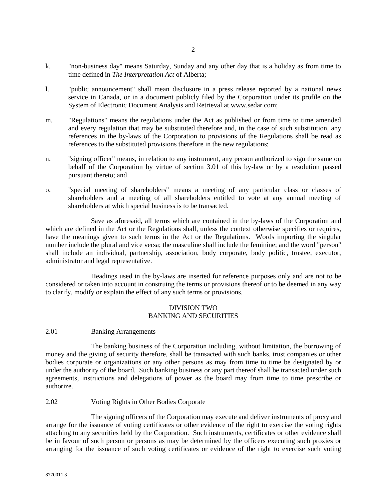- k. "non-business day" means Saturday, Sunday and any other day that is a holiday as from time to time defined in *The Interpretation Act* of Alberta;
- l. "public announcement" shall mean disclosure in a press release reported by a national news service in Canada, or in a document publicly filed by the Corporation under its profile on the System of Electronic Document Analysis and Retrieval at www.sedar.com;
- m. "Regulations" means the regulations under the Act as published or from time to time amended and every regulation that may be substituted therefore and, in the case of such substitution, any references in the by-laws of the Corporation to provisions of the Regulations shall be read as references to the substituted provisions therefore in the new regulations;
- n. "signing officer" means, in relation to any instrument, any person authorized to sign the same on behalf of the Corporation by virtue of section 3.01 of this by-law or by a resolution passed pursuant thereto; and
- o. "special meeting of shareholders" means a meeting of any particular class or classes of shareholders and a meeting of all shareholders entitled to vote at any annual meeting of shareholders at which special business is to be transacted.

Save as aforesaid, all terms which are contained in the by-laws of the Corporation and which are defined in the Act or the Regulations shall, unless the context otherwise specifies or requires, have the meanings given to such terms in the Act or the Regulations. Words importing the singular number include the plural and vice versa; the masculine shall include the feminine; and the word "person" shall include an individual, partnership, association, body corporate, body politic, trustee, executor, administrator and legal representative.

Headings used in the by-laws are inserted for reference purposes only and are not to be considered or taken into account in construing the terms or provisions thereof or to be deemed in any way to clarify, modify or explain the effect of any such terms or provisions.

## DIVISION TWO BANKING AND SECURITIES

# 2.01 Banking Arrangements

The banking business of the Corporation including, without limitation, the borrowing of money and the giving of security therefore, shall be transacted with such banks, trust companies or other bodies corporate or organizations or any other persons as may from time to time be designated by or under the authority of the board. Such banking business or any part thereof shall be transacted under such agreements, instructions and delegations of power as the board may from time to time prescribe or authorize.

### 2.02 Voting Rights in Other Bodies Corporate

The signing officers of the Corporation may execute and deliver instruments of proxy and arrange for the issuance of voting certificates or other evidence of the right to exercise the voting rights attaching to any securities held by the Corporation. Such instruments, certificates or other evidence shall be in favour of such person or persons as may be determined by the officers executing such proxies or arranging for the issuance of such voting certificates or evidence of the right to exercise such voting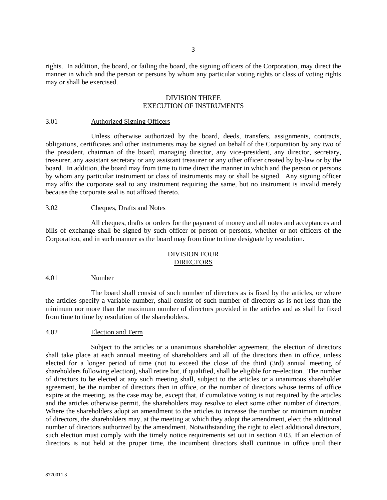rights. In addition, the board, or failing the board, the signing officers of the Corporation, may direct the manner in which and the person or persons by whom any particular voting rights or class of voting rights may or shall be exercised.

## DIVISION THREE EXECUTION OF INSTRUMENTS

#### 3.01 Authorized Signing Officers

Unless otherwise authorized by the board, deeds, transfers, assignments, contracts, obligations, certificates and other instruments may be signed on behalf of the Corporation by any two of the president, chairman of the board, managing director, any vice-president, any director, secretary, treasurer, any assistant secretary or any assistant treasurer or any other officer created by by-law or by the board. In addition, the board may from time to time direct the manner in which and the person or persons by whom any particular instrument or class of instruments may or shall be signed. Any signing officer may affix the corporate seal to any instrument requiring the same, but no instrument is invalid merely because the corporate seal is not affixed thereto.

### 3.02 Cheques, Drafts and Notes

All cheques, drafts or orders for the payment of money and all notes and acceptances and bills of exchange shall be signed by such officer or person or persons, whether or not officers of the Corporation, and in such manner as the board may from time to time designate by resolution.

## DIVISION FOUR DIRECTORS

#### 4.01 Number

The board shall consist of such number of directors as is fixed by the articles, or where the articles specify a variable number, shall consist of such number of directors as is not less than the minimum nor more than the maximum number of directors provided in the articles and as shall be fixed from time to time by resolution of the shareholders.

### 4.02 Election and Term

Subject to the articles or a unanimous shareholder agreement, the election of directors shall take place at each annual meeting of shareholders and all of the directors then in office, unless elected for a longer period of time (not to exceed the close of the third (3rd) annual meeting of shareholders following election), shall retire but, if qualified, shall be eligible for re-election. The number of directors to be elected at any such meeting shall, subject to the articles or a unanimous shareholder agreement, be the number of directors then in office, or the number of directors whose terms of office expire at the meeting, as the case may be, except that, if cumulative voting is not required by the articles and the articles otherwise permit, the shareholders may resolve to elect some other number of directors. Where the shareholders adopt an amendment to the articles to increase the number or minimum number of directors, the shareholders may, at the meeting at which they adopt the amendment, elect the additional number of directors authorized by the amendment. Notwithstanding the right to elect additional directors, such election must comply with the timely notice requirements set out in section 4.03. If an election of directors is not held at the proper time, the incumbent directors shall continue in office until their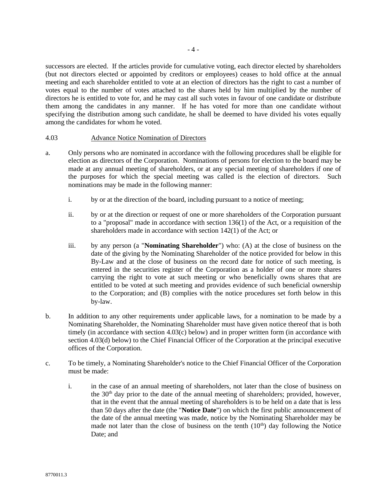successors are elected. If the articles provide for cumulative voting, each director elected by shareholders (but not directors elected or appointed by creditors or employees) ceases to hold office at the annual meeting and each shareholder entitled to vote at an election of directors has the right to cast a number of votes equal to the number of votes attached to the shares held by him multiplied by the number of directors he is entitled to vote for, and he may cast all such votes in favour of one candidate or distribute them among the candidates in any manner. If he has voted for more than one candidate without specifying the distribution among such candidate, he shall be deemed to have divided his votes equally among the candidates for whom he voted.

### 4.03 Advance Notice Nomination of Directors

- a. Only persons who are nominated in accordance with the following procedures shall be eligible for election as directors of the Corporation. Nominations of persons for election to the board may be made at any annual meeting of shareholders, or at any special meeting of shareholders if one of the purposes for which the special meeting was called is the election of directors. Such nominations may be made in the following manner:
	- i. by or at the direction of the board, including pursuant to a notice of meeting;
	- ii. by or at the direction or request of one or more shareholders of the Corporation pursuant to a "proposal" made in accordance with section 136(1) of the Act, or a requisition of the shareholders made in accordance with section 142(1) of the Act; or
	- iii. by any person (a "**Nominating Shareholder**") who: (A) at the close of business on the date of the giving by the Nominating Shareholder of the notice provided for below in this By-Law and at the close of business on the record date for notice of such meeting, is entered in the securities register of the Corporation as a holder of one or more shares carrying the right to vote at such meeting or who beneficially owns shares that are entitled to be voted at such meeting and provides evidence of such beneficial ownership to the Corporation; and (B) complies with the notice procedures set forth below in this by-law.
- b. In addition to any other requirements under applicable laws, for a nomination to be made by a Nominating Shareholder, the Nominating Shareholder must have given notice thereof that is both timely (in accordance with section 4.03(c) below) and in proper written form (in accordance with section 4.03(d) below) to the Chief Financial Officer of the Corporation at the principal executive offices of the Corporation.
- c. To be timely, a Nominating Shareholder's notice to the Chief Financial Officer of the Corporation must be made:
	- i. in the case of an annual meeting of shareholders, not later than the close of business on the  $30<sup>th</sup>$  day prior to the date of the annual meeting of shareholders; provided, however, that in the event that the annual meeting of shareholders is to be held on a date that is less than 50 days after the date (the "**Notice Date**") on which the first public announcement of the date of the annual meeting was made, notice by the Nominating Shareholder may be made not later than the close of business on the tenth  $(10<sup>th</sup>)$  day following the Notice Date; and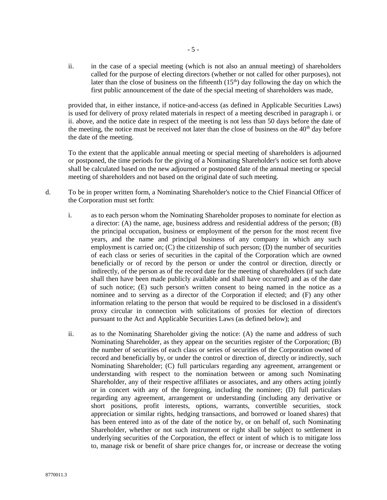ii. in the case of a special meeting (which is not also an annual meeting) of shareholders called for the purpose of electing directors (whether or not called for other purposes), not later than the close of business on the fifteenth  $(15<sup>th</sup>)$  day following the day on which the first public announcement of the date of the special meeting of shareholders was made,

provided that, in either instance, if notice-and-access (as defined in Applicable Securities Laws) is used for delivery of proxy related materials in respect of a meeting described in paragraph i. or ii. above, and the notice date in respect of the meeting is not less than 50 days before the date of the meeting, the notice must be received not later than the close of business on the 40<sup>th</sup> day before the date of the meeting.

To the extent that the applicable annual meeting or special meeting of shareholders is adjourned or postponed, the time periods for the giving of a Nominating Shareholder's notice set forth above shall be calculated based on the new adjourned or postponed date of the annual meeting or special meeting of shareholders and not based on the original date of such meeting.

- d. To be in proper written form, a Nominating Shareholder's notice to the Chief Financial Officer of the Corporation must set forth:
	- i. as to each person whom the Nominating Shareholder proposes to nominate for election as a director: (A) the name, age, business address and residential address of the person; (B) the principal occupation, business or employment of the person for the most recent five years, and the name and principal business of any company in which any such employment is carried on; (C) the citizenship of such person; (D) the number of securities of each class or series of securities in the capital of the Corporation which are owned beneficially or of record by the person or under the control or direction, directly or indirectly, of the person as of the record date for the meeting of shareholders (if such date shall then have been made publicly available and shall have occurred) and as of the date of such notice; (E) such person's written consent to being named in the notice as a nominee and to serving as a director of the Corporation if elected; and (F) any other information relating to the person that would be required to be disclosed in a dissident's proxy circular in connection with solicitations of proxies for election of directors pursuant to the Act and Applicable Securities Laws (as defined below); and
	- ii. as to the Nominating Shareholder giving the notice: (A) the name and address of such Nominating Shareholder, as they appear on the securities register of the Corporation; (B) the number of securities of each class or series of securities of the Corporation owned of record and beneficially by, or under the control or direction of, directly or indirectly, such Nominating Shareholder; (C) full particulars regarding any agreement, arrangement or understanding with respect to the nomination between or among such Nominating Shareholder, any of their respective affiliates or associates, and any others acting jointly or in concert with any of the foregoing, including the nominee; (D) full particulars regarding any agreement, arrangement or understanding (including any derivative or short positions, profit interests, options, warrants, convertible securities, stock appreciation or similar rights, hedging transactions, and borrowed or loaned shares) that has been entered into as of the date of the notice by, or on behalf of, such Nominating Shareholder, whether or not such instrument or right shall be subject to settlement in underlying securities of the Corporation, the effect or intent of which is to mitigate loss to, manage risk or benefit of share price changes for, or increase or decrease the voting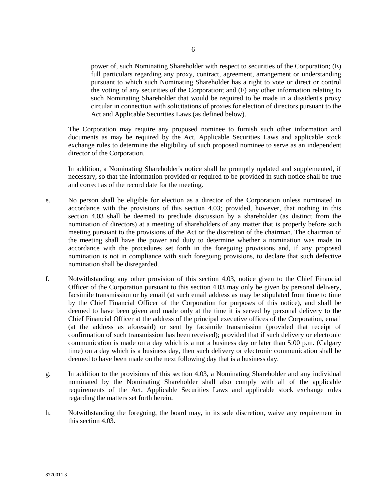power of, such Nominating Shareholder with respect to securities of the Corporation; (E) full particulars regarding any proxy, contract, agreement, arrangement or understanding pursuant to which such Nominating Shareholder has a right to vote or direct or control the voting of any securities of the Corporation; and (F) any other information relating to such Nominating Shareholder that would be required to be made in a dissident's proxy circular in connection with solicitations of proxies for election of directors pursuant to the Act and Applicable Securities Laws (as defined below).

The Corporation may require any proposed nominee to furnish such other information and documents as may be required by the Act, Applicable Securities Laws and applicable stock exchange rules to determine the eligibility of such proposed nominee to serve as an independent director of the Corporation.

In addition, a Nominating Shareholder's notice shall be promptly updated and supplemented, if necessary, so that the information provided or required to be provided in such notice shall be true and correct as of the record date for the meeting.

- e. No person shall be eligible for election as a director of the Corporation unless nominated in accordance with the provisions of this section 4.03; provided, however, that nothing in this section 4.03 shall be deemed to preclude discussion by a shareholder (as distinct from the nomination of directors) at a meeting of shareholders of any matter that is properly before such meeting pursuant to the provisions of the Act or the discretion of the chairman. The chairman of the meeting shall have the power and duty to determine whether a nomination was made in accordance with the procedures set forth in the foregoing provisions and, if any proposed nomination is not in compliance with such foregoing provisions, to declare that such defective nomination shall be disregarded.
- f. Notwithstanding any other provision of this section 4.03, notice given to the Chief Financial Officer of the Corporation pursuant to this section 4.03 may only be given by personal delivery, facsimile transmission or by email (at such email address as may be stipulated from time to time by the Chief Financial Officer of the Corporation for purposes of this notice), and shall be deemed to have been given and made only at the time it is served by personal delivery to the Chief Financial Officer at the address of the principal executive offices of the Corporation, email (at the address as aforesaid) or sent by facsimile transmission (provided that receipt of confirmation of such transmission has been received); provided that if such delivery or electronic communication is made on a day which is a not a business day or later than 5:00 p.m. (Calgary time) on a day which is a business day, then such delivery or electronic communication shall be deemed to have been made on the next following day that is a business day.
- g. In addition to the provisions of this section 4.03, a Nominating Shareholder and any individual nominated by the Nominating Shareholder shall also comply with all of the applicable requirements of the Act, Applicable Securities Laws and applicable stock exchange rules regarding the matters set forth herein.
- h. Notwithstanding the foregoing, the board may, in its sole discretion, waive any requirement in this section 4.03.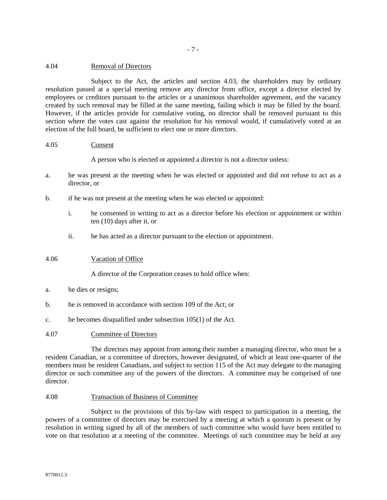## 4.04 Removal of Directors

Subject to the Act, the articles and section 4.03, the shareholders may by ordinary resolution passed at a special meeting remove any director from office, except a director elected by employees or creditors pursuant to the articles or a unanimous shareholder agreement, and the vacancy created by such removal may be filled at the same meeting, failing which it may be filled by the board. However, if the articles provide for cumulative voting, no director shall be removed pursuant to this section where the votes cast against the resolution for his removal would, if cumulatively voted at an election of the full board, be sufficient to elect one or more directors.

## 4.05 Consent

A person who is elected or appointed a director is not a director unless:

- a. he was present at the meeting when he was elected or appointed and did not refuse to act as a director, or
- b. if he was not present at the meeting when he was elected or appointed:
	- i. he consented in writing to act as a director before his election or appointment or within ten (10) days after it, or
	- ii. he has acted as a director pursuant to the election or appointment.

# 4.06 Vacation of Office

A director of the Corporation ceases to hold office when:

- a. he dies or resigns;
- b. he is removed in accordance with section 109 of the Act; or
- c. he becomes disqualified under subsection 105(1) of the Act.

# 4.07 Committee of Directors

The directors may appoint from among their number a managing director, who must be a resident Canadian, or a committee of directors, however designated, of which at least one-quarter of the members must be resident Canadians, and subject to section 115 of the Act may delegate to the managing director or such committee any of the powers of the directors. A committee may be comprised of one director.

### 4.08 Transaction of Business of Committee

Subject to the provisions of this by-law with respect to participation in a meeting, the powers of a committee of directors may be exercised by a meeting at which a quorum is present or by resolution in writing signed by all of the members of such committee who would have been entitled to vote on that resolution at a meeting of the committee. Meetings of such committee may be held at any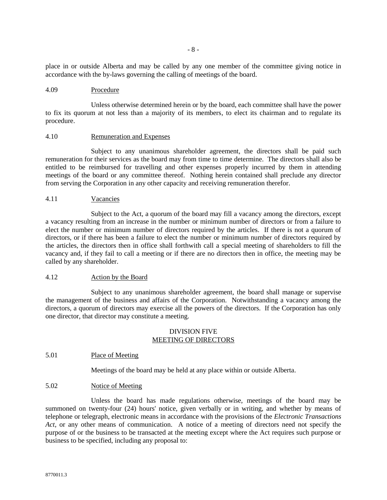place in or outside Alberta and may be called by any one member of the committee giving notice in accordance with the by-laws governing the calling of meetings of the board.

## 4.09 Procedure

Unless otherwise determined herein or by the board, each committee shall have the power to fix its quorum at not less than a majority of its members, to elect its chairman and to regulate its procedure.

#### 4.10 Remuneration and Expenses

Subject to any unanimous shareholder agreement, the directors shall be paid such remuneration for their services as the board may from time to time determine. The directors shall also be entitled to be reimbursed for travelling and other expenses properly incurred by them in attending meetings of the board or any committee thereof. Nothing herein contained shall preclude any director from serving the Corporation in any other capacity and receiving remuneration therefor.

## 4.11 Vacancies

Subject to the Act, a quorum of the board may fill a vacancy among the directors, except a vacancy resulting from an increase in the number or minimum number of directors or from a failure to elect the number or minimum number of directors required by the articles. If there is not a quorum of directors, or if there has been a failure to elect the number or minimum number of directors required by the articles, the directors then in office shall forthwith call a special meeting of shareholders to fill the vacancy and, if they fail to call a meeting or if there are no directors then in office, the meeting may be called by any shareholder.

### 4.12 Action by the Board

Subject to any unanimous shareholder agreement, the board shall manage or supervise the management of the business and affairs of the Corporation. Notwithstanding a vacancy among the directors, a quorum of directors may exercise all the powers of the directors. If the Corporation has only one director, that director may constitute a meeting.

## DIVISION FIVE MEETING OF DIRECTORS

### 5.01 Place of Meeting

Meetings of the board may be held at any place within or outside Alberta.

## 5.02 Notice of Meeting

Unless the board has made regulations otherwise, meetings of the board may be summoned on twenty-four (24) hours' notice, given verbally or in writing, and whether by means of telephone or telegraph, electronic means in accordance with the provisions of the *Electronic Transactions Act*, or any other means of communication. A notice of a meeting of directors need not specify the purpose of or the business to be transacted at the meeting except where the Act requires such purpose or business to be specified, including any proposal to: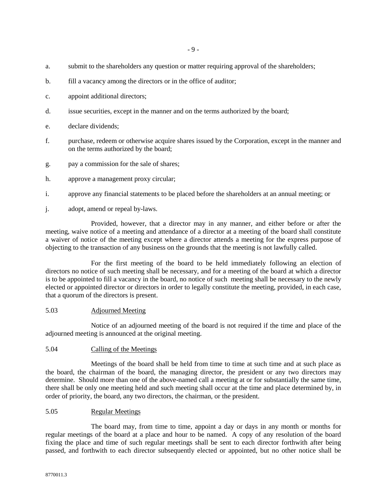- a. submit to the shareholders any question or matter requiring approval of the shareholders;
- b. fill a vacancy among the directors or in the office of auditor;
- c. appoint additional directors;
- d. issue securities, except in the manner and on the terms authorized by the board;
- e. declare dividends;
- f. purchase, redeem or otherwise acquire shares issued by the Corporation, except in the manner and on the terms authorized by the board;
- g. pay a commission for the sale of shares;
- h. approve a management proxy circular;
- i. approve any financial statements to be placed before the shareholders at an annual meeting; or
- j. adopt, amend or repeal by-laws.

Provided, however, that a director may in any manner, and either before or after the meeting, waive notice of a meeting and attendance of a director at a meeting of the board shall constitute a waiver of notice of the meeting except where a director attends a meeting for the express purpose of objecting to the transaction of any business on the grounds that the meeting is not lawfully called.

For the first meeting of the board to be held immediately following an election of directors no notice of such meeting shall be necessary, and for a meeting of the board at which a director is to be appointed to fill a vacancy in the board, no notice of such meeting shall be necessary to the newly elected or appointed director or directors in order to legally constitute the meeting, provided, in each case, that a quorum of the directors is present.

### 5.03 Adjourned Meeting

Notice of an adjourned meeting of the board is not required if the time and place of the adjourned meeting is announced at the original meeting.

### 5.04 Calling of the Meetings

Meetings of the board shall be held from time to time at such time and at such place as the board, the chairman of the board, the managing director, the president or any two directors may determine. Should more than one of the above-named call a meeting at or for substantially the same time, there shall be only one meeting held and such meeting shall occur at the time and place determined by, in order of priority, the board, any two directors, the chairman, or the president.

### 5.05 Regular Meetings

The board may, from time to time, appoint a day or days in any month or months for regular meetings of the board at a place and hour to be named. A copy of any resolution of the board fixing the place and time of such regular meetings shall be sent to each director forthwith after being passed, and forthwith to each director subsequently elected or appointed, but no other notice shall be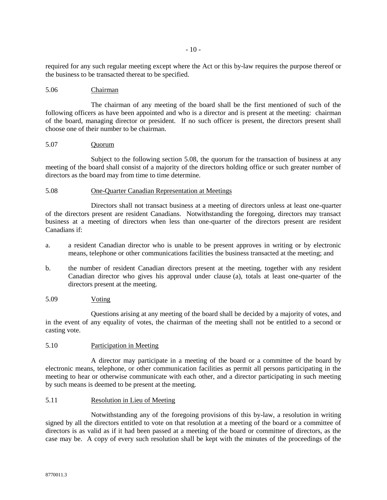required for any such regular meeting except where the Act or this by-law requires the purpose thereof or the business to be transacted thereat to be specified.

## 5.06 Chairman

The chairman of any meeting of the board shall be the first mentioned of such of the following officers as have been appointed and who is a director and is present at the meeting: chairman of the board, managing director or president. If no such officer is present, the directors present shall choose one of their number to be chairman.

### 5.07 Quorum

Subject to the following section 5.08, the quorum for the transaction of business at any meeting of the board shall consist of a majority of the directors holding office or such greater number of directors as the board may from time to time determine.

## 5.08 One-Quarter Canadian Representation at Meetings

Directors shall not transact business at a meeting of directors unless at least one-quarter of the directors present are resident Canadians. Notwithstanding the foregoing, directors may transact business at a meeting of directors when less than one-quarter of the directors present are resident Canadians if:

- a. a resident Canadian director who is unable to be present approves in writing or by electronic means, telephone or other communications facilities the business transacted at the meeting; and
- b. the number of resident Canadian directors present at the meeting, together with any resident Canadian director who gives his approval under clause (a), totals at least one-quarter of the directors present at the meeting.

### 5.09 Voting

Questions arising at any meeting of the board shall be decided by a majority of votes, and in the event of any equality of votes, the chairman of the meeting shall not be entitled to a second or casting vote.

### 5.10 Participation in Meeting

A director may participate in a meeting of the board or a committee of the board by electronic means, telephone, or other communication facilities as permit all persons participating in the meeting to hear or otherwise communicate with each other, and a director participating in such meeting by such means is deemed to be present at the meeting.

## 5.11 Resolution in Lieu of Meeting

Notwithstanding any of the foregoing provisions of this by-law, a resolution in writing signed by all the directors entitled to vote on that resolution at a meeting of the board or a committee of directors is as valid as if it had been passed at a meeting of the board or committee of directors, as the case may be. A copy of every such resolution shall be kept with the minutes of the proceedings of the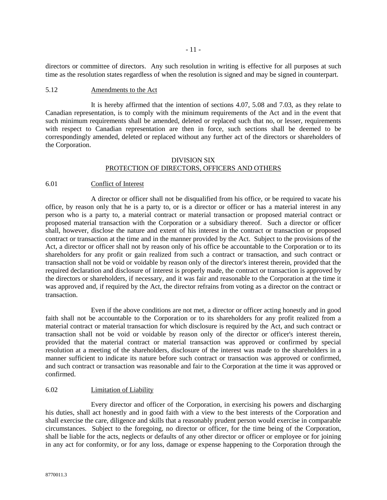directors or committee of directors. Any such resolution in writing is effective for all purposes at such time as the resolution states regardless of when the resolution is signed and may be signed in counterpart.

# 5.12 Amendments to the Act

It is hereby affirmed that the intention of sections 4.07, 5.08 and 7.03, as they relate to Canadian representation, is to comply with the minimum requirements of the Act and in the event that such minimum requirements shall be amended, deleted or replaced such that no, or lesser, requirements with respect to Canadian representation are then in force, such sections shall be deemed to be correspondingly amended, deleted or replaced without any further act of the directors or shareholders of the Corporation.

## DIVISION SIX PROTECTION OF DIRECTORS, OFFICERS AND OTHERS

## 6.01 Conflict of Interest

A director or officer shall not be disqualified from his office, or be required to vacate his office, by reason only that he is a party to, or is a director or officer or has a material interest in any person who is a party to, a material contract or material transaction or proposed material contract or proposed material transaction with the Corporation or a subsidiary thereof. Such a director or officer shall, however, disclose the nature and extent of his interest in the contract or transaction or proposed contract or transaction at the time and in the manner provided by the Act. Subject to the provisions of the Act, a director or officer shall not by reason only of his office be accountable to the Corporation or to its shareholders for any profit or gain realized from such a contract or transaction, and such contract or transaction shall not be void or voidable by reason only of the director's interest therein, provided that the required declaration and disclosure of interest is properly made, the contract or transaction is approved by the directors or shareholders, if necessary, and it was fair and reasonable to the Corporation at the time it was approved and, if required by the Act, the director refrains from voting as a director on the contract or transaction.

Even if the above conditions are not met, a director or officer acting honestly and in good faith shall not be accountable to the Corporation or to its shareholders for any profit realized from a material contract or material transaction for which disclosure is required by the Act, and such contract or transaction shall not be void or voidable by reason only of the director or officer's interest therein, provided that the material contract or material transaction was approved or confirmed by special resolution at a meeting of the shareholders, disclosure of the interest was made to the shareholders in a manner sufficient to indicate its nature before such contract or transaction was approved or confirmed, and such contract or transaction was reasonable and fair to the Corporation at the time it was approved or confirmed.

### 6.02 Limitation of Liability

Every director and officer of the Corporation, in exercising his powers and discharging his duties, shall act honestly and in good faith with a view to the best interests of the Corporation and shall exercise the care, diligence and skills that a reasonably prudent person would exercise in comparable circumstances. Subject to the foregoing, no director or officer, for the time being of the Corporation, shall be liable for the acts, neglects or defaults of any other director or officer or employee or for joining in any act for conformity, or for any loss, damage or expense happening to the Corporation through the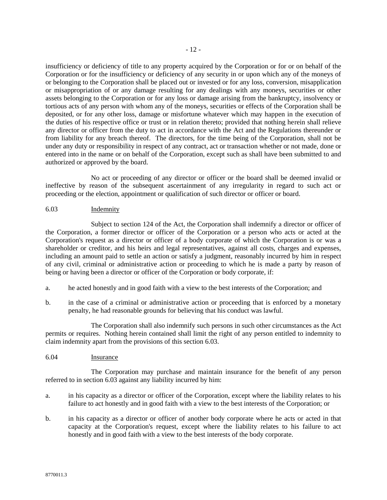insufficiency or deficiency of title to any property acquired by the Corporation or for or on behalf of the Corporation or for the insufficiency or deficiency of any security in or upon which any of the moneys of or belonging to the Corporation shall be placed out or invested or for any loss, conversion, misapplication or misappropriation of or any damage resulting for any dealings with any moneys, securities or other assets belonging to the Corporation or for any loss or damage arising from the bankruptcy, insolvency or tortious acts of any person with whom any of the moneys, securities or effects of the Corporation shall be deposited, or for any other loss, damage or misfortune whatever which may happen in the execution of the duties of his respective office or trust or in relation thereto; provided that nothing herein shall relieve any director or officer from the duty to act in accordance with the Act and the Regulations thereunder or from liability for any breach thereof. The directors, for the time being of the Corporation, shall not be under any duty or responsibility in respect of any contract, act or transaction whether or not made, done or entered into in the name or on behalf of the Corporation, except such as shall have been submitted to and authorized or approved by the board.

No act or proceeding of any director or officer or the board shall be deemed invalid or ineffective by reason of the subsequent ascertainment of any irregularity in regard to such act or proceeding or the election, appointment or qualification of such director or officer or board.

# 6.03 Indemnity

Subject to section 124 of the Act, the Corporation shall indemnify a director or officer of the Corporation, a former director or officer of the Corporation or a person who acts or acted at the Corporation's request as a director or officer of a body corporate of which the Corporation is or was a shareholder or creditor, and his heirs and legal representatives, against all costs, charges and expenses, including an amount paid to settle an action or satisfy a judgment, reasonably incurred by him in respect of any civil, criminal or administrative action or proceeding to which he is made a party by reason of being or having been a director or officer of the Corporation or body corporate, if:

- a. he acted honestly and in good faith with a view to the best interests of the Corporation; and
- b. in the case of a criminal or administrative action or proceeding that is enforced by a monetary penalty, he had reasonable grounds for believing that his conduct was lawful.

The Corporation shall also indemnify such persons in such other circumstances as the Act permits or requires. Nothing herein contained shall limit the right of any person entitled to indemnity to claim indemnity apart from the provisions of this section 6.03.

# 6.04 Insurance

The Corporation may purchase and maintain insurance for the benefit of any person referred to in section 6.03 against any liability incurred by him:

- a. in his capacity as a director or officer of the Corporation, except where the liability relates to his failure to act honestly and in good faith with a view to the best interests of the Corporation; or
- b. in his capacity as a director or officer of another body corporate where he acts or acted in that capacity at the Corporation's request, except where the liability relates to his failure to act honestly and in good faith with a view to the best interests of the body corporate.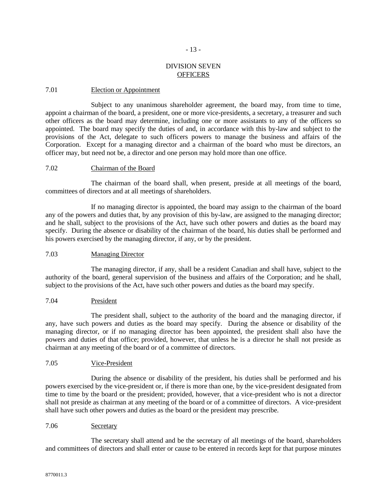# DIVISION SEVEN **OFFICERS**

- 13 -

## 7.01 Election or Appointment

Subject to any unanimous shareholder agreement, the board may, from time to time, appoint a chairman of the board, a president, one or more vice-presidents, a secretary, a treasurer and such other officers as the board may determine, including one or more assistants to any of the officers so appointed. The board may specify the duties of and, in accordance with this by-law and subject to the provisions of the Act, delegate to such officers powers to manage the business and affairs of the Corporation. Except for a managing director and a chairman of the board who must be directors, an officer may, but need not be, a director and one person may hold more than one office.

### 7.02 Chairman of the Board

The chairman of the board shall, when present, preside at all meetings of the board, committees of directors and at all meetings of shareholders.

If no managing director is appointed, the board may assign to the chairman of the board any of the powers and duties that, by any provision of this by-law, are assigned to the managing director; and he shall, subject to the provisions of the Act, have such other powers and duties as the board may specify. During the absence or disability of the chairman of the board, his duties shall be performed and his powers exercised by the managing director, if any, or by the president.

# 7.03 Managing Director

The managing director, if any, shall be a resident Canadian and shall have, subject to the authority of the board, general supervision of the business and affairs of the Corporation; and he shall, subject to the provisions of the Act, have such other powers and duties as the board may specify.

### 7.04 President

The president shall, subject to the authority of the board and the managing director, if any, have such powers and duties as the board may specify. During the absence or disability of the managing director, or if no managing director has been appointed, the president shall also have the powers and duties of that office; provided, however, that unless he is a director he shall not preside as chairman at any meeting of the board or of a committee of directors.

### 7.05 Vice-President

During the absence or disability of the president, his duties shall be performed and his powers exercised by the vice-president or, if there is more than one, by the vice-president designated from time to time by the board or the president; provided, however, that a vice-president who is not a director shall not preside as chairman at any meeting of the board or of a committee of directors. A vice-president shall have such other powers and duties as the board or the president may prescribe.

### 7.06 Secretary

The secretary shall attend and be the secretary of all meetings of the board, shareholders and committees of directors and shall enter or cause to be entered in records kept for that purpose minutes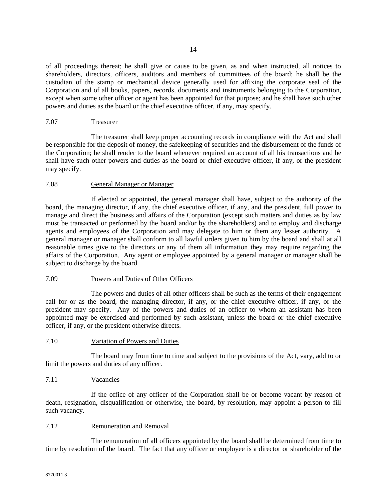of all proceedings thereat; he shall give or cause to be given, as and when instructed, all notices to shareholders, directors, officers, auditors and members of committees of the board; he shall be the custodian of the stamp or mechanical device generally used for affixing the corporate seal of the Corporation and of all books, papers, records, documents and instruments belonging to the Corporation, except when some other officer or agent has been appointed for that purpose; and he shall have such other powers and duties as the board or the chief executive officer, if any, may specify.

## 7.07 Treasurer

The treasurer shall keep proper accounting records in compliance with the Act and shall be responsible for the deposit of money, the safekeeping of securities and the disbursement of the funds of the Corporation; he shall render to the board whenever required an account of all his transactions and he shall have such other powers and duties as the board or chief executive officer, if any, or the president may specify.

## 7.08 General Manager or Manager

If elected or appointed, the general manager shall have, subject to the authority of the board, the managing director, if any, the chief executive officer, if any, and the president, full power to manage and direct the business and affairs of the Corporation (except such matters and duties as by law must be transacted or performed by the board and/or by the shareholders) and to employ and discharge agents and employees of the Corporation and may delegate to him or them any lesser authority. A general manager or manager shall conform to all lawful orders given to him by the board and shall at all reasonable times give to the directors or any of them all information they may require regarding the affairs of the Corporation. Any agent or employee appointed by a general manager or manager shall be subject to discharge by the board.

## 7.09 Powers and Duties of Other Officers

The powers and duties of all other officers shall be such as the terms of their engagement call for or as the board, the managing director, if any, or the chief executive officer, if any, or the president may specify. Any of the powers and duties of an officer to whom an assistant has been appointed may be exercised and performed by such assistant, unless the board or the chief executive officer, if any, or the president otherwise directs.

### 7.10 Variation of Powers and Duties

The board may from time to time and subject to the provisions of the Act, vary, add to or limit the powers and duties of any officer.

# 7.11 Vacancies

If the office of any officer of the Corporation shall be or become vacant by reason of death, resignation, disqualification or otherwise, the board, by resolution, may appoint a person to fill such vacancy.

# 7.12 Remuneration and Removal

The remuneration of all officers appointed by the board shall be determined from time to time by resolution of the board. The fact that any officer or employee is a director or shareholder of the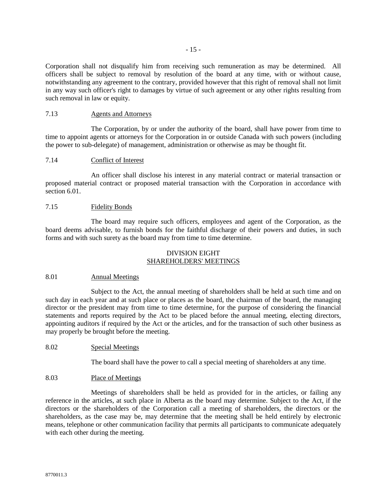Corporation shall not disqualify him from receiving such remuneration as may be determined. All officers shall be subject to removal by resolution of the board at any time, with or without cause, notwithstanding any agreement to the contrary, provided however that this right of removal shall not limit in any way such officer's right to damages by virtue of such agreement or any other rights resulting from such removal in law or equity.

## 7.13 Agents and Attorneys

The Corporation, by or under the authority of the board, shall have power from time to time to appoint agents or attorneys for the Corporation in or outside Canada with such powers (including the power to sub-delegate) of management, administration or otherwise as may be thought fit.

## 7.14 Conflict of Interest

An officer shall disclose his interest in any material contract or material transaction or proposed material contract or proposed material transaction with the Corporation in accordance with section 6.01.

### 7.15 Fidelity Bonds

The board may require such officers, employees and agent of the Corporation, as the board deems advisable, to furnish bonds for the faithful discharge of their powers and duties, in such forms and with such surety as the board may from time to time determine.

## DIVISION EIGHT SHAREHOLDERS' MEETINGS

### 8.01 Annual Meetings

Subject to the Act, the annual meeting of shareholders shall be held at such time and on such day in each year and at such place or places as the board, the chairman of the board, the managing director or the president may from time to time determine, for the purpose of considering the financial statements and reports required by the Act to be placed before the annual meeting, electing directors, appointing auditors if required by the Act or the articles, and for the transaction of such other business as may properly be brought before the meeting.

# 8.02 Special Meetings

The board shall have the power to call a special meeting of shareholders at any time.

### 8.03 Place of Meetings

Meetings of shareholders shall be held as provided for in the articles, or failing any reference in the articles, at such place in Alberta as the board may determine. Subject to the Act, if the directors or the shareholders of the Corporation call a meeting of shareholders, the directors or the shareholders, as the case may be, may determine that the meeting shall be held entirely by electronic means, telephone or other communication facility that permits all participants to communicate adequately with each other during the meeting.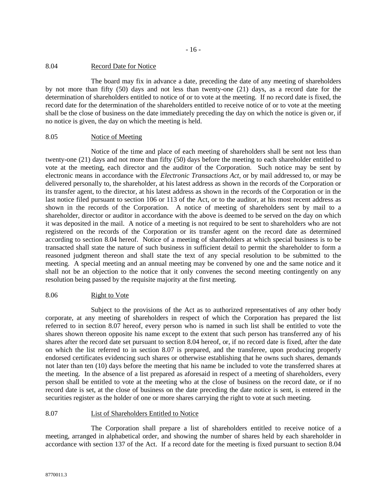## 8.04 Record Date for Notice

The board may fix in advance a date, preceding the date of any meeting of shareholders by not more than fifty (50) days and not less than twenty-one (21) days, as a record date for the determination of shareholders entitled to notice of or to vote at the meeting. If no record date is fixed, the record date for the determination of the shareholders entitled to receive notice of or to vote at the meeting shall be the close of business on the date immediately preceding the day on which the notice is given or, if no notice is given, the day on which the meeting is held.

## 8.05 Notice of Meeting

Notice of the time and place of each meeting of shareholders shall be sent not less than twenty-one (21) days and not more than fifty (50) days before the meeting to each shareholder entitled to vote at the meeting, each director and the auditor of the Corporation. Such notice may be sent by electronic means in accordance with the *Electronic Transactions Act*, or by mail addressed to, or may be delivered personally to, the shareholder, at his latest address as shown in the records of the Corporation or its transfer agent, to the director, at his latest address as shown in the records of the Corporation or in the last notice filed pursuant to section 106 or 113 of the Act, or to the auditor, at his most recent address as shown in the records of the Corporation. A notice of meeting of shareholders sent by mail to a shareholder, director or auditor in accordance with the above is deemed to be served on the day on which it was deposited in the mail. A notice of a meeting is not required to be sent to shareholders who are not registered on the records of the Corporation or its transfer agent on the record date as determined according to section 8.04 hereof. Notice of a meeting of shareholders at which special business is to be transacted shall state the nature of such business in sufficient detail to permit the shareholder to form a reasoned judgment thereon and shall state the text of any special resolution to be submitted to the meeting. A special meeting and an annual meeting may be convened by one and the same notice and it shall not be an objection to the notice that it only convenes the second meeting contingently on any resolution being passed by the requisite majority at the first meeting.

# 8.06 Right to Vote

Subject to the provisions of the Act as to authorized representatives of any other body corporate, at any meeting of shareholders in respect of which the Corporation has prepared the list referred to in section 8.07 hereof, every person who is named in such list shall be entitled to vote the shares shown thereon opposite his name except to the extent that such person has transferred any of his shares after the record date set pursuant to section 8.04 hereof, or, if no record date is fixed, after the date on which the list referred to in section 8.07 is prepared, and the transferee, upon producing properly endorsed certificates evidencing such shares or otherwise establishing that he owns such shares, demands not later than ten (10) days before the meeting that his name be included to vote the transferred shares at the meeting. In the absence of a list prepared as aforesaid in respect of a meeting of shareholders, every person shall be entitled to vote at the meeting who at the close of business on the record date, or if no record date is set, at the close of business on the date preceding the date notice is sent, is entered in the securities register as the holder of one or more shares carrying the right to vote at such meeting.

# 8.07 List of Shareholders Entitled to Notice

The Corporation shall prepare a list of shareholders entitled to receive notice of a meeting, arranged in alphabetical order, and showing the number of shares held by each shareholder in accordance with section 137 of the Act. If a record date for the meeting is fixed pursuant to section 8.04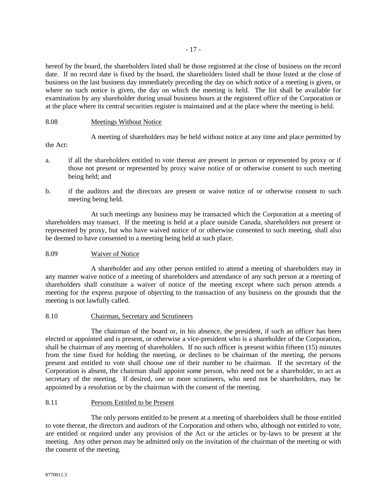- 17 -

hereof by the board, the shareholders listed shall be those registered at the close of business on the record date. If no record date is fixed by the board, the shareholders listed shall be those listed at the close of business on the last business day immediately preceding the day on which notice of a meeting is given, or where no such notice is given, the day on which the meeting is held. The list shall be available for examination by any shareholder during usual business hours at the registered office of the Corporation or at the place where its central securities register is maintained and at the place where the meeting is held.

# 8.08 Meetings Without Notice

A meeting of shareholders may be held without notice at any time and place permitted by

the Act:

- a. if all the shareholders entitled to vote thereat are present in person or represented by proxy or if those not present or represented by proxy waive notice of or otherwise consent to such meeting being held; and
- b. if the auditors and the directors are present or waive notice of or otherwise consent to such meeting being held.

At such meetings any business may be transacted which the Corporation at a meeting of shareholders may transact. If the meeting is held at a place outside Canada, shareholders not present or represented by proxy, but who have waived notice of or otherwise consented to such meeting, shall also be deemed to have consented to a meeting being held at such place.

# 8.09 Waiver of Notice

A shareholder and any other person entitled to attend a meeting of shareholders may in any manner waive notice of a meeting of shareholders and attendance of any such person at a meeting of shareholders shall constitute a waiver of notice of the meeting except where such person attends a meeting for the express purpose of objecting to the transaction of any business on the grounds that the meeting is not lawfully called.

# 8.10 Chairman, Secretary and Scrutineers

The chairman of the board or, in his absence, the president, if such an officer has been elected or appointed and is present, or otherwise a vice-president who is a shareholder of the Corporation, shall be chairman of any meeting of shareholders. If no such officer is present within fifteen (15) minutes from the time fixed for holding the meeting, or declines to be chairman of the meeting, the persons present and entitled to vote shall choose one of their number to be chairman. If the secretary of the Corporation is absent, the chairman shall appoint some person, who need not be a shareholder, to act as secretary of the meeting. If desired, one or more scrutineers, who need not be shareholders, may be appointed by a resolution or by the chairman with the consent of the meeting.

# 8.11 Persons Entitled to be Present

The only persons entitled to be present at a meeting of shareholders shall be those entitled to vote thereat, the directors and auditors of the Corporation and others who, although not entitled to vote, are entitled or required under any provision of the Act or the articles or by-laws to be present at the meeting. Any other person may be admitted only on the invitation of the chairman of the meeting or with the consent of the meeting.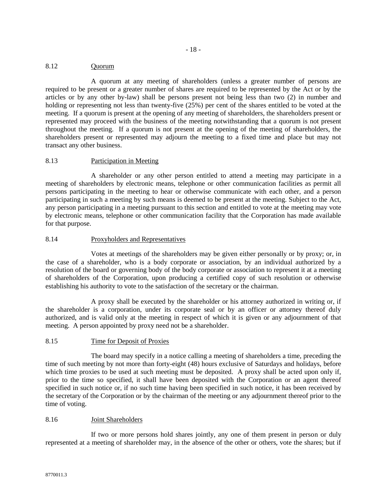## 8.12 Quorum

A quorum at any meeting of shareholders (unless a greater number of persons are required to be present or a greater number of shares are required to be represented by the Act or by the articles or by any other by-law) shall be persons present not being less than two (2) in number and holding or representing not less than twenty-five (25%) per cent of the shares entitled to be voted at the meeting. If a quorum is present at the opening of any meeting of shareholders, the shareholders present or represented may proceed with the business of the meeting notwithstanding that a quorum is not present throughout the meeting. If a quorum is not present at the opening of the meeting of shareholders, the shareholders present or represented may adjourn the meeting to a fixed time and place but may not transact any other business.

## 8.13 Participation in Meeting

A shareholder or any other person entitled to attend a meeting may participate in a meeting of shareholders by electronic means, telephone or other communication facilities as permit all persons participating in the meeting to hear or otherwise communicate with each other, and a person participating in such a meeting by such means is deemed to be present at the meeting. Subject to the Act, any person participating in a meeting pursuant to this section and entitled to vote at the meeting may vote by electronic means, telephone or other communication facility that the Corporation has made available for that purpose.

# 8.14 Proxyholders and Representatives

Votes at meetings of the shareholders may be given either personally or by proxy; or, in the case of a shareholder, who is a body corporate or association, by an individual authorized by a resolution of the board or governing body of the body corporate or association to represent it at a meeting of shareholders of the Corporation, upon producing a certified copy of such resolution or otherwise establishing his authority to vote to the satisfaction of the secretary or the chairman.

A proxy shall be executed by the shareholder or his attorney authorized in writing or, if the shareholder is a corporation, under its corporate seal or by an officer or attorney thereof duly authorized, and is valid only at the meeting in respect of which it is given or any adjournment of that meeting. A person appointed by proxy need not be a shareholder.

### 8.15 Time for Deposit of Proxies

The board may specify in a notice calling a meeting of shareholders a time, preceding the time of such meeting by not more than forty-eight (48) hours exclusive of Saturdays and holidays, before which time proxies to be used at such meeting must be deposited. A proxy shall be acted upon only if, prior to the time so specified, it shall have been deposited with the Corporation or an agent thereof specified in such notice or, if no such time having been specified in such notice, it has been received by the secretary of the Corporation or by the chairman of the meeting or any adjournment thereof prior to the time of voting.

### 8.16 Joint Shareholders

If two or more persons hold shares jointly, any one of them present in person or duly represented at a meeting of shareholder may, in the absence of the other or others, vote the shares; but if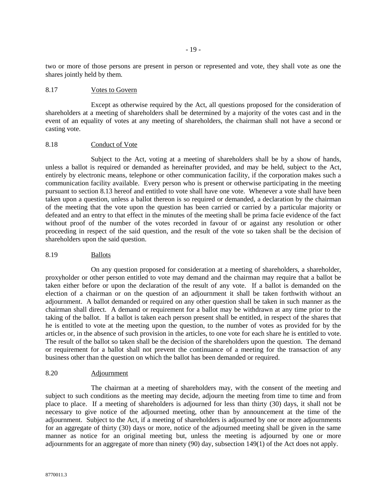two or more of those persons are present in person or represented and vote, they shall vote as one the shares jointly held by them.

## 8.17 Votes to Govern

Except as otherwise required by the Act, all questions proposed for the consideration of shareholders at a meeting of shareholders shall be determined by a majority of the votes cast and in the event of an equality of votes at any meeting of shareholders, the chairman shall not have a second or casting vote.

#### 8.18 Conduct of Vote

Subject to the Act, voting at a meeting of shareholders shall be by a show of hands, unless a ballot is required or demanded as hereinafter provided, and may be held, subject to the Act, entirely by electronic means, telephone or other communication facility, if the corporation makes such a communication facility available. Every person who is present or otherwise participating in the meeting pursuant to section 8.13 hereof and entitled to vote shall have one vote. Whenever a vote shall have been taken upon a question, unless a ballot thereon is so required or demanded, a declaration by the chairman of the meeting that the vote upon the question has been carried or carried by a particular majority or defeated and an entry to that effect in the minutes of the meeting shall be prima facie evidence of the fact without proof of the number of the votes recorded in favour of or against any resolution or other proceeding in respect of the said question, and the result of the vote so taken shall be the decision of shareholders upon the said question.

### 8.19 Ballots

On any question proposed for consideration at a meeting of shareholders, a shareholder, proxyholder or other person entitled to vote may demand and the chairman may require that a ballot be taken either before or upon the declaration of the result of any vote. If a ballot is demanded on the election of a chairman or on the question of an adjournment it shall be taken forthwith without an adjournment. A ballot demanded or required on any other question shall be taken in such manner as the chairman shall direct. A demand or requirement for a ballot may be withdrawn at any time prior to the taking of the ballot. If a ballot is taken each person present shall be entitled, in respect of the shares that he is entitled to vote at the meeting upon the question, to the number of votes as provided for by the articles or, in the absence of such provision in the articles, to one vote for each share he is entitled to vote. The result of the ballot so taken shall be the decision of the shareholders upon the question. The demand or requirement for a ballot shall not prevent the continuance of a meeting for the transaction of any business other than the question on which the ballot has been demanded or required.

### 8.20 Adjournment

The chairman at a meeting of shareholders may, with the consent of the meeting and subject to such conditions as the meeting may decide, adjourn the meeting from time to time and from place to place. If a meeting of shareholders is adjourned for less than thirty (30) days, it shall not be necessary to give notice of the adjourned meeting, other than by announcement at the time of the adjournment. Subject to the Act, if a meeting of shareholders is adjourned by one or more adjournments for an aggregate of thirty (30) days or more, notice of the adjourned meeting shall be given in the same manner as notice for an original meeting but, unless the meeting is adjourned by one or more adjournments for an aggregate of more than ninety (90) day, subsection 149(1) of the Act does not apply.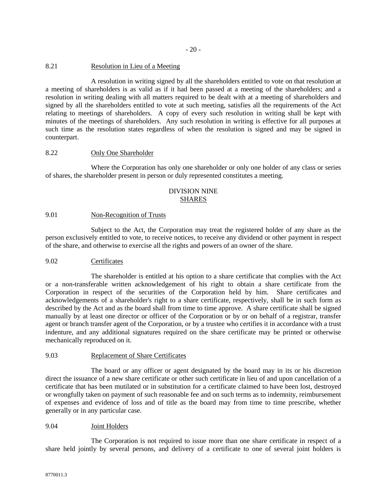## 8.21 Resolution in Lieu of a Meeting

A resolution in writing signed by all the shareholders entitled to vote on that resolution at a meeting of shareholders is as valid as if it had been passed at a meeting of the shareholders; and a resolution in writing dealing with all matters required to be dealt with at a meeting of shareholders and signed by all the shareholders entitled to vote at such meeting, satisfies all the requirements of the Act relating to meetings of shareholders. A copy of every such resolution in writing shall be kept with minutes of the meetings of shareholders. Any such resolution in writing is effective for all purposes at such time as the resolution states regardless of when the resolution is signed and may be signed in counterpart.

## 8.22 Only One Shareholder

Where the Corporation has only one shareholder or only one holder of any class or series of shares, the shareholder present in person or duly represented constitutes a meeting.

## DIVISION NINE SHARES

### 9.01 Non-Recognition of Trusts

Subject to the Act, the Corporation may treat the registered holder of any share as the person exclusively entitled to vote, to receive notices, to receive any dividend or other payment in respect of the share, and otherwise to exercise all the rights and powers of an owner of the share.

### 9.02 Certificates

The shareholder is entitled at his option to a share certificate that complies with the Act or a non-transferable written acknowledgement of his right to obtain a share certificate from the Corporation in respect of the securities of the Corporation held by him. Share certificates and acknowledgements of a shareholder's right to a share certificate, respectively, shall be in such form as described by the Act and as the board shall from time to time approve. A share certificate shall be signed manually by at least one director or officer of the Corporation or by or on behalf of a registrar, transfer agent or branch transfer agent of the Corporation, or by a trustee who certifies it in accordance with a trust indenture, and any additional signatures required on the share certificate may be printed or otherwise mechanically reproduced on it.

#### 9.03 Replacement of Share Certificates

The board or any officer or agent designated by the board may in its or his discretion direct the issuance of a new share certificate or other such certificate in lieu of and upon cancellation of a certificate that has been mutilated or in substitution for a certificate claimed to have been lost, destroyed or wrongfully taken on payment of such reasonable fee and on such terms as to indemnity, reimbursement of expenses and evidence of loss and of title as the board may from time to time prescribe, whether generally or in any particular case.

### 9.04 Joint Holders

The Corporation is not required to issue more than one share certificate in respect of a share held jointly by several persons, and delivery of a certificate to one of several joint holders is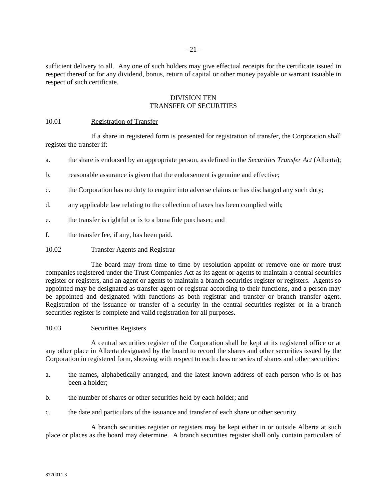sufficient delivery to all. Any one of such holders may give effectual receipts for the certificate issued in respect thereof or for any dividend, bonus, return of capital or other money payable or warrant issuable in respect of such certificate.

## DIVISION TEN TRANSFER OF SECURITIES

## 10.01 Registration of Transfer

If a share in registered form is presented for registration of transfer, the Corporation shall register the transfer if:

- a. the share is endorsed by an appropriate person, as defined in the *Securities Transfer Act* (Alberta);
- b. reasonable assurance is given that the endorsement is genuine and effective;
- c. the Corporation has no duty to enquire into adverse claims or has discharged any such duty;
- d. any applicable law relating to the collection of taxes has been complied with;
- e. the transfer is rightful or is to a bona fide purchaser; and
- f. the transfer fee, if any, has been paid.

## 10.02 Transfer Agents and Registrar

The board may from time to time by resolution appoint or remove one or more trust companies registered under the Trust Companies Act as its agent or agents to maintain a central securities register or registers, and an agent or agents to maintain a branch securities register or registers. Agents so appointed may be designated as transfer agent or registrar according to their functions, and a person may be appointed and designated with functions as both registrar and transfer or branch transfer agent. Registration of the issuance or transfer of a security in the central securities register or in a branch securities register is complete and valid registration for all purposes.

### 10.03 Securities Registers

A central securities register of the Corporation shall be kept at its registered office or at any other place in Alberta designated by the board to record the shares and other securities issued by the Corporation in registered form, showing with respect to each class or series of shares and other securities:

- a. the names, alphabetically arranged, and the latest known address of each person who is or has been a holder;
- b. the number of shares or other securities held by each holder; and
- c. the date and particulars of the issuance and transfer of each share or other security.

A branch securities register or registers may be kept either in or outside Alberta at such place or places as the board may determine. A branch securities register shall only contain particulars of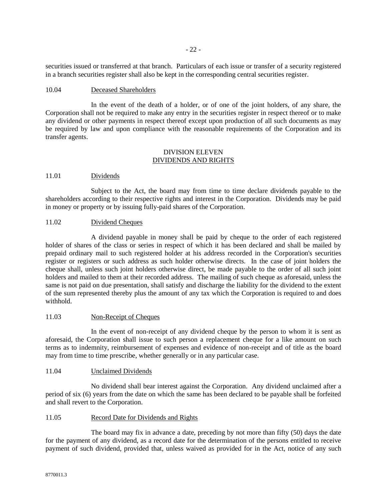securities issued or transferred at that branch. Particulars of each issue or transfer of a security registered in a branch securities register shall also be kept in the corresponding central securities register.

## 10.04 Deceased Shareholders

In the event of the death of a holder, or of one of the joint holders, of any share, the Corporation shall not be required to make any entry in the securities register in respect thereof or to make any dividend or other payments in respect thereof except upon production of all such documents as may be required by law and upon compliance with the reasonable requirements of the Corporation and its transfer agents.

## DIVISION ELEVEN DIVIDENDS AND RIGHTS

## 11.01 Dividends

Subject to the Act, the board may from time to time declare dividends payable to the shareholders according to their respective rights and interest in the Corporation. Dividends may be paid in money or property or by issuing fully-paid shares of the Corporation.

# 11.02 Dividend Cheques

A dividend payable in money shall be paid by cheque to the order of each registered holder of shares of the class or series in respect of which it has been declared and shall be mailed by prepaid ordinary mail to such registered holder at his address recorded in the Corporation's securities register or registers or such address as such holder otherwise directs. In the case of joint holders the cheque shall, unless such joint holders otherwise direct, be made payable to the order of all such joint holders and mailed to them at their recorded address. The mailing of such cheque as aforesaid, unless the same is not paid on due presentation, shall satisfy and discharge the liability for the dividend to the extent of the sum represented thereby plus the amount of any tax which the Corporation is required to and does withhold.

### 11.03 Non-Receipt of Cheques

In the event of non-receipt of any dividend cheque by the person to whom it is sent as aforesaid, the Corporation shall issue to such person a replacement cheque for a like amount on such terms as to indemnity, reimbursement of expenses and evidence of non-receipt and of title as the board may from time to time prescribe, whether generally or in any particular case.

# 11.04 Unclaimed Dividends

No dividend shall bear interest against the Corporation. Any dividend unclaimed after a period of six (6) years from the date on which the same has been declared to be payable shall be forfeited and shall revert to the Corporation.

### 11.05 Record Date for Dividends and Rights

The board may fix in advance a date, preceding by not more than fifty (50) days the date for the payment of any dividend, as a record date for the determination of the persons entitled to receive payment of such dividend, provided that, unless waived as provided for in the Act, notice of any such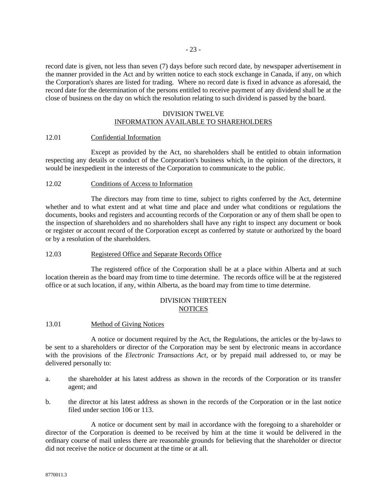record date is given, not less than seven (7) days before such record date, by newspaper advertisement in the manner provided in the Act and by written notice to each stock exchange in Canada, if any, on which the Corporation's shares are listed for trading. Where no record date is fixed in advance as aforesaid, the record date for the determination of the persons entitled to receive payment of any dividend shall be at the close of business on the day on which the resolution relating to such dividend is passed by the board.

# DIVISION TWELVE INFORMATION AVAILABLE TO SHAREHOLDERS

## 12.01 Confidential Information

Except as provided by the Act, no shareholders shall be entitled to obtain information respecting any details or conduct of the Corporation's business which, in the opinion of the directors, it would be inexpedient in the interests of the Corporation to communicate to the public.

## 12.02 Conditions of Access to Information

The directors may from time to time, subject to rights conferred by the Act, determine whether and to what extent and at what time and place and under what conditions or regulations the documents, books and registers and accounting records of the Corporation or any of them shall be open to the inspection of shareholders and no shareholders shall have any right to inspect any document or book or register or account record of the Corporation except as conferred by statute or authorized by the board or by a resolution of the shareholders.

## 12.03 Registered Office and Separate Records Office

The registered office of the Corporation shall be at a place within Alberta and at such location therein as the board may from time to time determine. The records office will be at the registered office or at such location, if any, within Alberta, as the board may from time to time determine.

# DIVISION THIRTEEN **NOTICES**

# 13.01 Method of Giving Notices

A notice or document required by the Act, the Regulations, the articles or the by-laws to be sent to a shareholders or director of the Corporation may be sent by electronic means in accordance with the provisions of the *Electronic Transactions Act*, or by prepaid mail addressed to, or may be delivered personally to:

- a. the shareholder at his latest address as shown in the records of the Corporation or its transfer agent; and
- b. the director at his latest address as shown in the records of the Corporation or in the last notice filed under section 106 or 113.

A notice or document sent by mail in accordance with the foregoing to a shareholder or director of the Corporation is deemed to be received by him at the time it would be delivered in the ordinary course of mail unless there are reasonable grounds for believing that the shareholder or director did not receive the notice or document at the time or at all.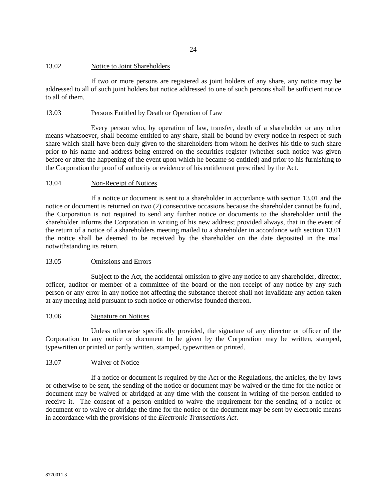- 24 -

## 13.02 Notice to Joint Shareholders

If two or more persons are registered as joint holders of any share, any notice may be addressed to all of such joint holders but notice addressed to one of such persons shall be sufficient notice to all of them.

# 13.03 Persons Entitled by Death or Operation of Law

Every person who, by operation of law, transfer, death of a shareholder or any other means whatsoever, shall become entitled to any share, shall be bound by every notice in respect of such share which shall have been duly given to the shareholders from whom he derives his title to such share prior to his name and address being entered on the securities register (whether such notice was given before or after the happening of the event upon which he became so entitled) and prior to his furnishing to the Corporation the proof of authority or evidence of his entitlement prescribed by the Act.

# 13.04 Non-Receipt of Notices

If a notice or document is sent to a shareholder in accordance with section 13.01 and the notice or document is returned on two (2) consecutive occasions because the shareholder cannot be found, the Corporation is not required to send any further notice or documents to the shareholder until the shareholder informs the Corporation in writing of his new address; provided always, that in the event of the return of a notice of a shareholders meeting mailed to a shareholder in accordance with section 13.01 the notice shall be deemed to be received by the shareholder on the date deposited in the mail notwithstanding its return.

# 13.05 Omissions and Errors

Subject to the Act, the accidental omission to give any notice to any shareholder, director, officer, auditor or member of a committee of the board or the non-receipt of any notice by any such person or any error in any notice not affecting the substance thereof shall not invalidate any action taken at any meeting held pursuant to such notice or otherwise founded thereon.

### 13.06 Signature on Notices

Unless otherwise specifically provided, the signature of any director or officer of the Corporation to any notice or document to be given by the Corporation may be written, stamped, typewritten or printed or partly written, stamped, typewritten or printed.

# 13.07 Waiver of Notice

If a notice or document is required by the Act or the Regulations, the articles, the by-laws or otherwise to be sent, the sending of the notice or document may be waived or the time for the notice or document may be waived or abridged at any time with the consent in writing of the person entitled to receive it. The consent of a person entitled to waive the requirement for the sending of a notice or document or to waive or abridge the time for the notice or the document may be sent by electronic means in accordance with the provisions of the *Electronic Transactions Act*.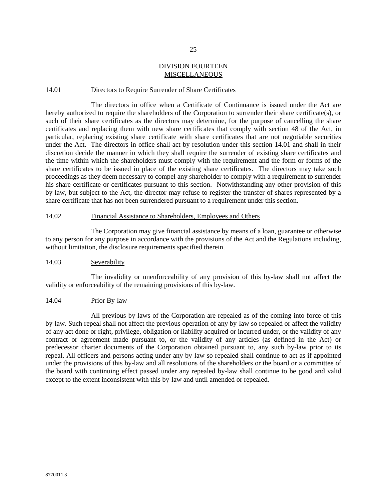## - 25 -

# DIVISION FOURTEEN **MISCELLANEOUS**

## 14.01 Directors to Require Surrender of Share Certificates

The directors in office when a Certificate of Continuance is issued under the Act are hereby authorized to require the shareholders of the Corporation to surrender their share certificate(s), or such of their share certificates as the directors may determine, for the purpose of cancelling the share certificates and replacing them with new share certificates that comply with section 48 of the Act, in particular, replacing existing share certificate with share certificates that are not negotiable securities under the Act. The directors in office shall act by resolution under this section 14.01 and shall in their discretion decide the manner in which they shall require the surrender of existing share certificates and the time within which the shareholders must comply with the requirement and the form or forms of the share certificates to be issued in place of the existing share certificates. The directors may take such proceedings as they deem necessary to compel any shareholder to comply with a requirement to surrender his share certificate or certificates pursuant to this section. Notwithstanding any other provision of this by-law, but subject to the Act, the director may refuse to register the transfer of shares represented by a share certificate that has not been surrendered pursuant to a requirement under this section.

## 14.02 Financial Assistance to Shareholders, Employees and Others

The Corporation may give financial assistance by means of a loan, guarantee or otherwise to any person for any purpose in accordance with the provisions of the Act and the Regulations including, without limitation, the disclosure requirements specified therein.

### 14.03 Severability

The invalidity or unenforceability of any provision of this by-law shall not affect the validity or enforceability of the remaining provisions of this by-law.

#### 14.04 Prior By-law

All previous by-laws of the Corporation are repealed as of the coming into force of this by-law. Such repeal shall not affect the previous operation of any by-law so repealed or affect the validity of any act done or right, privilege, obligation or liability acquired or incurred under, or the validity of any contract or agreement made pursuant to, or the validity of any articles (as defined in the Act) or predecessor charter documents of the Corporation obtained pursuant to, any such by-law prior to its repeal. All officers and persons acting under any by-law so repealed shall continue to act as if appointed under the provisions of this by-law and all resolutions of the shareholders or the board or a committee of the board with continuing effect passed under any repealed by-law shall continue to be good and valid except to the extent inconsistent with this by-law and until amended or repealed.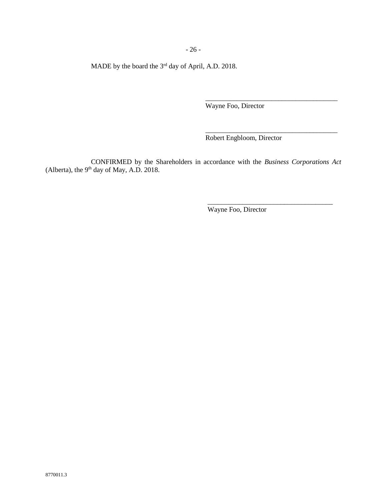- 26 -

MADE by the board the  $3<sup>rd</sup>$  day of April, A.D. 2018.

Wayne Foo, Director

Robert Engbloom, Director

\_\_\_\_\_\_\_\_\_\_\_\_\_\_\_\_\_\_\_\_\_\_\_\_\_\_\_\_\_\_\_\_\_\_\_\_\_\_

\_\_\_\_\_\_\_\_\_\_\_\_\_\_\_\_\_\_\_\_\_\_\_\_\_\_\_\_\_\_\_\_\_\_\_\_\_\_

\_\_\_\_\_\_\_\_\_\_\_\_\_\_\_\_\_\_\_\_\_\_\_\_\_\_\_\_\_\_\_\_\_\_\_\_

CONFIRMED by the Shareholders in accordance with the *Business Corporations Act* (Alberta), the  $9<sup>th</sup>$  day of May, A.D. 2018.

Wayne Foo, Director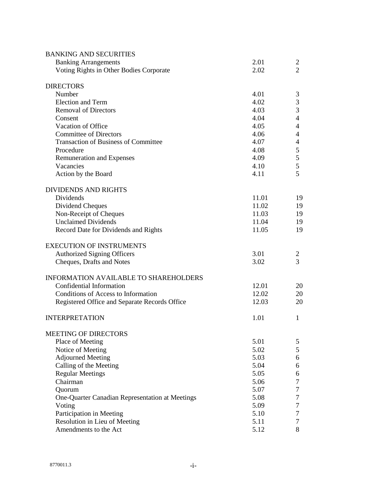| <b>BANKING AND SECURITIES</b>                   |       |                |
|-------------------------------------------------|-------|----------------|
| <b>Banking Arrangements</b>                     | 2.01  | 2              |
| Voting Rights in Other Bodies Corporate         | 2.02  | $\overline{2}$ |
| <b>DIRECTORS</b>                                |       |                |
| Number                                          | 4.01  | 3              |
| <b>Election and Term</b>                        | 4.02  | 3              |
| <b>Removal of Directors</b>                     | 4.03  | 3              |
| Consent                                         | 4.04  | $\overline{4}$ |
| Vacation of Office                              | 4.05  | $\overline{4}$ |
| <b>Committee of Directors</b>                   | 4.06  | 4              |
| <b>Transaction of Business of Committee</b>     | 4.07  | 4              |
| Procedure                                       | 4.08  | 5              |
| <b>Remuneration and Expenses</b>                | 4.09  | 5              |
| Vacancies                                       | 4.10  | 5              |
| Action by the Board                             | 4.11  | 5              |
| <b>DIVIDENDS AND RIGHTS</b>                     |       |                |
| Dividends                                       | 11.01 | 19             |
| Dividend Cheques                                | 11.02 | 19             |
| Non-Receipt of Cheques                          | 11.03 | 19             |
| <b>Unclaimed Dividends</b>                      | 11.04 | 19             |
| Record Date for Dividends and Rights            | 11.05 | 19             |
| <b>EXECUTION OF INSTRUMENTS</b>                 |       |                |
| <b>Authorized Signing Officers</b>              | 3.01  | 2              |
| Cheques, Drafts and Notes                       | 3.02  | 3              |
| <b>INFORMATION AVAILABLE TO SHAREHOLDERS</b>    |       |                |
| Confidential Information                        | 12.01 | 20             |
| Conditions of Access to Information             | 12.02 | 20             |
| Registered Office and Separate Records Office   | 12.03 | 20             |
| <b>INTERPRETATION</b>                           | 1.01  | 1              |
| MEETING OF DIRECTORS                            |       |                |
| Place of Meeting                                | 5.01  | 5              |
| Notice of Meeting                               | 5.02  | 5              |
| <b>Adjourned Meeting</b>                        | 5.03  | 6              |
| Calling of the Meeting                          | 5.04  | 6              |
| <b>Regular Meetings</b>                         | 5.05  | 6              |
| Chairman                                        | 5.06  | 7              |
| Quorum                                          | 5.07  | 7              |
| One-Quarter Canadian Representation at Meetings | 5.08  | 7              |
| Voting                                          | 5.09  | 7              |
| Participation in Meeting                        | 5.10  | 7              |
| Resolution in Lieu of Meeting                   | 5.11  | 7              |
| Amendments to the Act                           | 5.12  | 8              |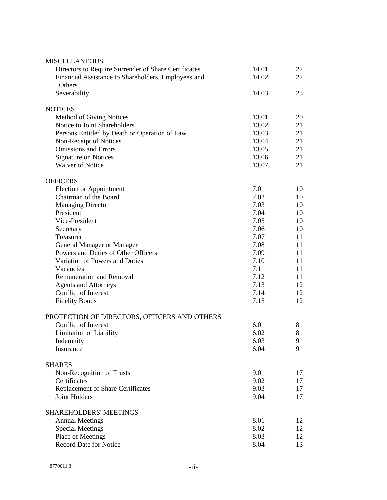| <b>MISCELLANEOUS</b>                                 |       |    |
|------------------------------------------------------|-------|----|
| Directors to Require Surrender of Share Certificates | 14.01 | 22 |
| Financial Assistance to Shareholders, Employees and  | 14.02 | 22 |
| Others                                               |       |    |
| Severability                                         | 14.03 | 23 |
| <b>NOTICES</b>                                       |       |    |
| Method of Giving Notices                             | 13.01 | 20 |
| Notice to Joint Shareholders                         | 13.02 | 21 |
| Persons Entitled by Death or Operation of Law        | 13.03 | 21 |
| Non-Receipt of Notices                               | 13.04 | 21 |
| <b>Omissions and Errors</b>                          | 13.05 | 21 |
| <b>Signature on Notices</b>                          | 13.06 | 21 |
| <b>Waiver of Notice</b>                              | 13.07 | 21 |
| <b>OFFICERS</b>                                      |       |    |
| Election or Appointment                              | 7.01  | 10 |
| Chairman of the Board                                | 7.02  | 10 |
| <b>Managing Director</b>                             | 7.03  | 10 |
| President                                            | 7.04  | 10 |
| Vice-President                                       | 7.05  | 10 |
| Secretary                                            | 7.06  | 10 |
| Treasurer                                            | 7.07  | 11 |
| <b>General Manager or Manager</b>                    | 7.08  | 11 |
| Powers and Duties of Other Officers                  | 7.09  | 11 |
| Variation of Powers and Duties                       | 7.10  | 11 |
| Vacancies                                            | 7.11  | 11 |
| <b>Remuneration and Removal</b>                      | 7.12  | 11 |
| <b>Agents and Attorneys</b>                          | 7.13  | 12 |
| Conflict of Interest                                 | 7.14  | 12 |
| <b>Fidelity Bonds</b>                                | 7.15  | 12 |
| PROTECTION OF DIRECTORS, OFFICERS AND OTHERS         |       |    |
| Conflict of Interest                                 | 6.01  | 8  |
| <b>Limitation of Liability</b>                       | 6.02  | 8  |
| Indemnity                                            | 6.03  | 9  |
| Insurance                                            | 6.04  | 9  |
| <b>SHARES</b>                                        |       |    |
| Non-Recognition of Trusts                            | 9.01  | 17 |
| Certificates                                         | 9.02  | 17 |
| Replacement of Share Certificates                    | 9.03  | 17 |
| <b>Joint Holders</b>                                 | 9.04  | 17 |
| SHAREHOLDERS' MEETINGS                               |       |    |
| <b>Annual Meetings</b>                               | 8.01  | 12 |
| <b>Special Meetings</b>                              | 8.02  | 12 |
| Place of Meetings                                    | 8.03  | 12 |
| Record Date for Notice                               | 8.04  | 13 |